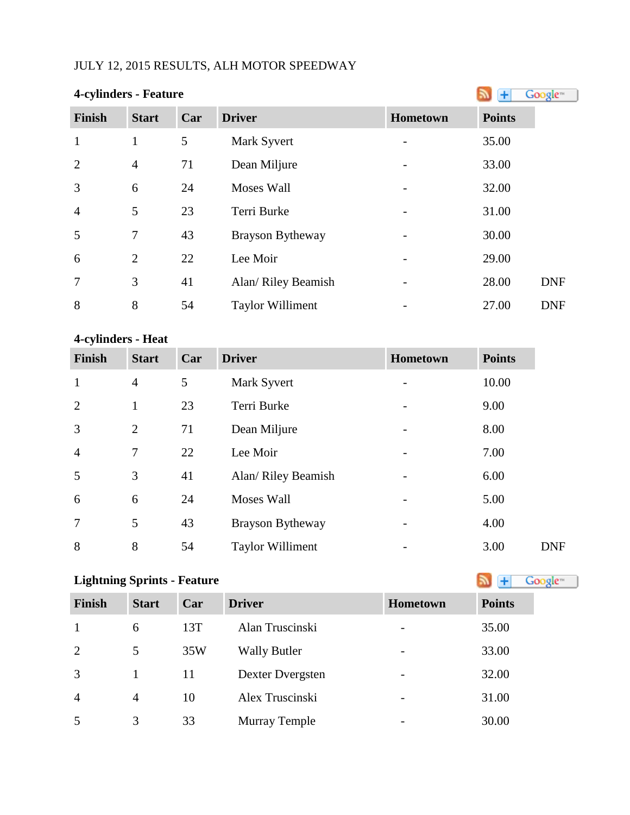## JULY 12, 2015 RESULTS, ALH MOTOR SPEEDWAY

| 4-cylinders - Feature |                |     |                         |          |               | Google <sup>®</sup> |
|-----------------------|----------------|-----|-------------------------|----------|---------------|---------------------|
| Finish                | <b>Start</b>   | Car | <b>Driver</b>           | Hometown | <b>Points</b> |                     |
| $\mathbf{1}$          | 1              | 5   | Mark Syvert             |          | 35.00         |                     |
| $\overline{2}$        | $\overline{4}$ | 71  | Dean Miljure            |          | 33.00         |                     |
| 3                     | 6              | 24  | Moses Wall              |          | 32.00         |                     |
| $\overline{4}$        | 5              | 23  | Terri Burke             |          | 31.00         |                     |
| 5                     | 7              | 43  | Brayson Bytheway        |          | 30.00         |                     |
| 6                     | $\overline{2}$ | 22  | Lee Moir                |          | 29.00         |                     |
| 7                     | 3              | 41  | Alan/ Riley Beamish     |          | 28.00         | <b>DNF</b>          |
| 8                     | 8              | 54  | <b>Taylor Williment</b> |          | 27.00         | <b>DNF</b>          |

### **4-cylinders - Heat**

| <b>Finish</b>  | <b>Start</b>   | Car | <b>Driver</b>           | <b>Hometown</b> | <b>Points</b> |
|----------------|----------------|-----|-------------------------|-----------------|---------------|
| $\mathbf{1}$   | $\overline{4}$ | 5   | Mark Syvert             |                 | 10.00         |
| $\overline{2}$ |                | 23  | Terri Burke             |                 | 9.00          |
| 3              | 2              | 71  | Dean Miljure            |                 | 8.00          |
| $\overline{4}$ | 7              | 22  | Lee Moir                |                 | 7.00          |
| 5              | 3              | 41  | Alan/ Riley Beamish     |                 | 6.00          |
| 6              | 6              | 24  | Moses Wall              |                 | 5.00          |
| $\overline{7}$ | 5              | 43  | <b>Brayson Bytheway</b> |                 | 4.00          |
| 8              | 8              | 54  | <b>Taylor Williment</b> |                 | 3.00          |

| <b>Lightning Sprints - Feature</b><br>Google <sup>®</sup> |              |     |                     |                          |               |  |  |
|-----------------------------------------------------------|--------------|-----|---------------------|--------------------------|---------------|--|--|
| <b>Finish</b>                                             | <b>Start</b> | Car | <b>Driver</b>       | <b>Hometown</b>          | <b>Points</b> |  |  |
| -1                                                        | 6            | 13T | Alan Truscinski     |                          | 35.00         |  |  |
| 2                                                         | 5            | 35W | <b>Wally Butler</b> | $\overline{\phantom{a}}$ | 33.00         |  |  |
| 3                                                         |              | 11  | Dexter Dvergsten    |                          | 32.00         |  |  |
| $\overline{4}$                                            | 4            | 10  | Alex Truscinski     |                          | 31.00         |  |  |
| 5                                                         | 3            | 33  | Murray Temple       |                          | 30.00         |  |  |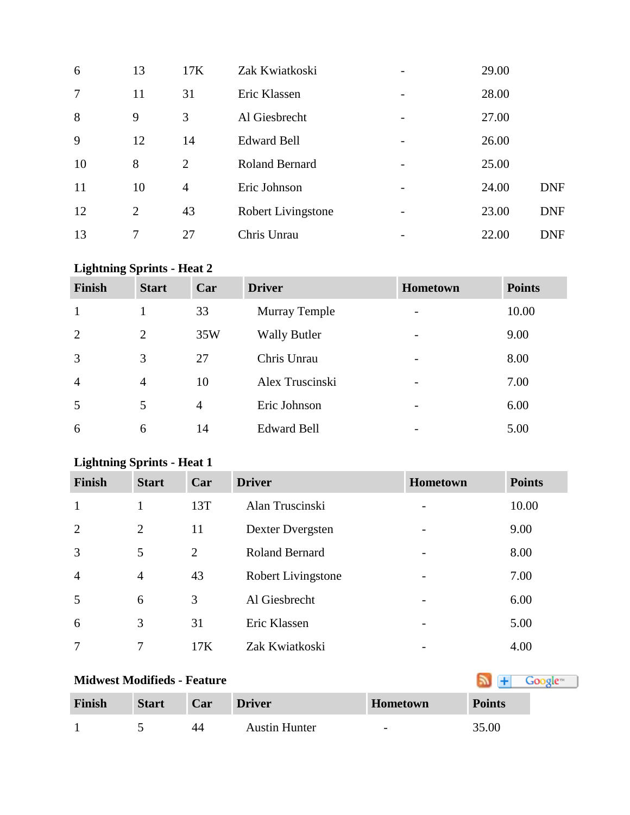| 6               | 13 | 17K            | Zak Kwiatkoski        | 29.00 |            |
|-----------------|----|----------------|-----------------------|-------|------------|
| $7\phantom{.0}$ | 11 | 31             | Eric Klassen          | 28.00 |            |
| 8               | 9  | 3              | Al Giesbrecht         | 27.00 |            |
| 9               | 12 | 14             | <b>Edward Bell</b>    | 26.00 |            |
| 10              | 8  | 2              | <b>Roland Bernard</b> | 25.00 |            |
| 11              | 10 | $\overline{4}$ | Eric Johnson          | 24.00 | <b>DNF</b> |
| 12              | 2  | 43             | Robert Livingstone    | 23.00 | <b>DNF</b> |
| 13              | 7  | 27             | Chris Unrau           | 22.00 | <b>DNF</b> |

## **Lightning Sprints - Heat 2**

| <b>Finish</b>  | <b>Start</b>   | Car | <b>Driver</b>        | <b>Hometown</b>              | <b>Points</b> |
|----------------|----------------|-----|----------------------|------------------------------|---------------|
|                |                | 33  | <b>Murray Temple</b> |                              | 10.00         |
| 2              | 2              | 35W | <b>Wally Butler</b>  | $\qquad \qquad \blacksquare$ | 9.00          |
| 3              | 3              | 27  | Chris Unrau          |                              | 8.00          |
| $\overline{4}$ | $\overline{4}$ | 10  | Alex Truscinski      |                              | 7.00          |
| 5              | 5              | 4   | Eric Johnson         |                              | 6.00          |
| 6              | 6              | 14  | <b>Edward Bell</b>   |                              | 5.00          |

## **Lightning Sprints - Heat 1**

| <b>Finish</b>  | <b>Start</b>   | Car | <b>Driver</b>         | Hometown                 | <b>Points</b> |
|----------------|----------------|-----|-----------------------|--------------------------|---------------|
| $\mathbf{1}$   |                | 13T | Alan Truscinski       |                          | 10.00         |
| $\overline{2}$ | $\overline{2}$ | 11  | Dexter Dvergsten      |                          | 9.00          |
| 3              | 5              | 2   | <b>Roland Bernard</b> | $\overline{\phantom{0}}$ | 8.00          |
| $\overline{4}$ | $\overline{4}$ | 43  | Robert Livingstone    | $\overline{a}$           | 7.00          |
| 5              | 6              | 3   | Al Giesbrecht         |                          | 6.00          |
| 6              | 3              | 31  | Eric Klassen          |                          | 5.00          |
| 7              | 7              | 17K | Zak Kwiatkoski        |                          | 4.00          |

# **MidwestModifieds - Feature**

| Finish | <b>Start</b> | Car            | <b>Driver</b>        | Hometown                 | <b>Points</b> |
|--------|--------------|----------------|----------------------|--------------------------|---------------|
|        |              | $\Delta\Delta$ | <b>Austin Hunter</b> | $\overline{\phantom{a}}$ | 35.00         |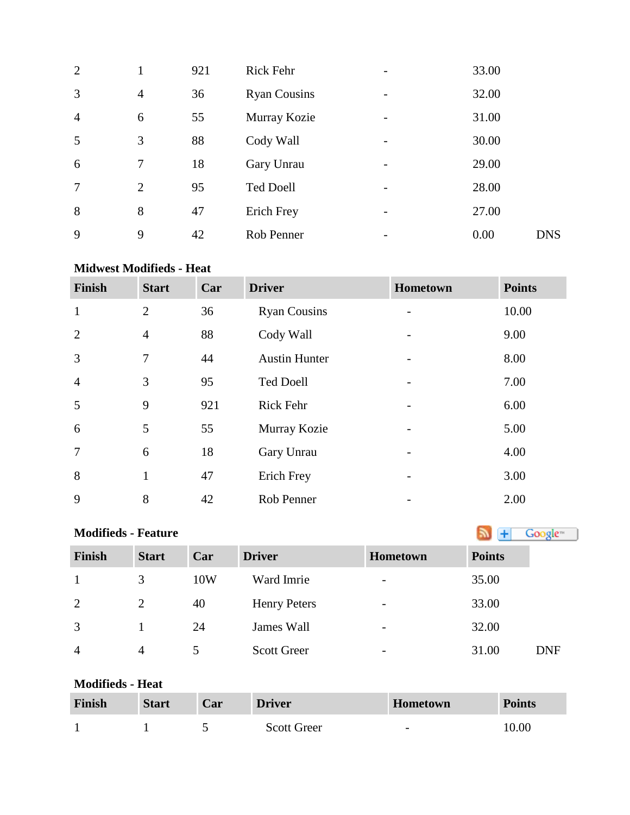| $\overline{2}$ | 1              | 921 | Rick Fehr           | 33.00              |  |
|----------------|----------------|-----|---------------------|--------------------|--|
| 3              | $\overline{4}$ | 36  | <b>Ryan Cousins</b> | 32.00              |  |
| $\overline{4}$ | 6              | 55  | Murray Kozie        | 31.00              |  |
| 5              | 3              | 88  | Cody Wall           | 30.00              |  |
| 6              | 7              | 18  | Gary Unrau          | 29.00              |  |
| 7              | $\overline{2}$ | 95  | <b>Ted Doell</b>    | 28.00              |  |
| 8              | 8              | 47  | Erich Frey          | 27.00              |  |
| 9              | 9              | 42  | Rob Penner          | 0.00<br><b>DNS</b> |  |

### **Midwest Modifieds - Heat**

| <b>Finish</b>  | <b>Start</b>   | Car | <b>Driver</b>        | Hometown                 | <b>Points</b> |
|----------------|----------------|-----|----------------------|--------------------------|---------------|
| $\mathbf{1}$   | $\overline{2}$ | 36  | <b>Ryan Cousins</b>  | $\overline{\phantom{a}}$ | 10.00         |
| $\overline{2}$ | $\overline{4}$ | 88  | Cody Wall            |                          | 9.00          |
| 3              | 7              | 44  | <b>Austin Hunter</b> |                          | 8.00          |
| $\overline{4}$ | 3              | 95  | <b>Ted Doell</b>     |                          | 7.00          |
| 5              | 9              | 921 | <b>Rick Fehr</b>     |                          | 6.00          |
| 6              | 5              | 55  | Murray Kozie         |                          | 5.00          |
| 7              | 6              | 18  | Gary Unrau           |                          | 4.00          |
| 8              | $\mathbf{1}$   | 47  | Erich Frey           |                          | 3.00          |
| 9              | 8              | 42  | Rob Penner           |                          | 2.00          |

| <b>Modifieds - Feature</b> |                | Google <sup>®</sup> |                     |                 |               |            |
|----------------------------|----------------|---------------------|---------------------|-----------------|---------------|------------|
| <b>Finish</b>              | <b>Start</b>   | Car                 | <b>Driver</b>       | <b>Hometown</b> | <b>Points</b> |            |
|                            | 3              | 10W                 | Ward Imrie          |                 | 35.00         |            |
| 2                          | $\overline{2}$ | 40                  | <b>Henry Peters</b> | -               | 33.00         |            |
| 3                          |                | 24                  | James Wall          | -               | 32.00         |            |
| $\overline{4}$             | 4              |                     | <b>Scott Greer</b>  | -               | 31.00         | <b>DNF</b> |

### **Modifieds - Heat**

| <b>Finish</b> | <b>Start</b> | Car | <b>Driver</b>      | <b>Hometown</b>          | <b>Points</b> |
|---------------|--------------|-----|--------------------|--------------------------|---------------|
|               |              |     | <b>Scott Greer</b> | $\overline{\phantom{a}}$ | 10.00         |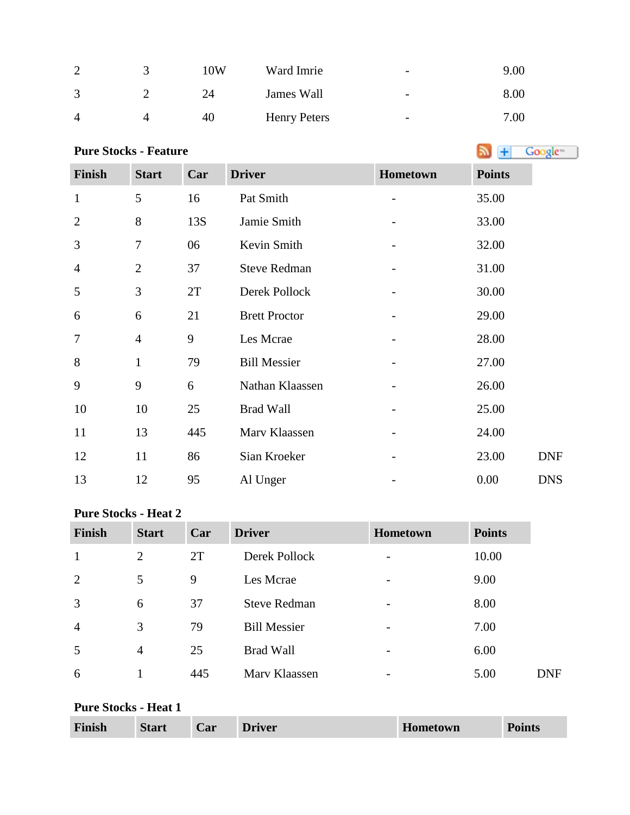| $\sim$        | 10W | Ward Imrie          | $\overline{\phantom{m}}$ | 9.00 |
|---------------|-----|---------------------|--------------------------|------|
| $\mathcal{R}$ | 24  | James Wall          | $\overline{\phantom{m}}$ | 8.00 |
|               | 40  | <b>Henry Peters</b> | $\overline{\phantom{0}}$ | 7.00 |

# **PureStocks - Feature A F Coogle**<sup>n</sup> **Coogle**<sup>n</sup>

| <b>Finish</b>  | <b>Start</b>   | Car | <b>Driver</b>        | Hometown | <b>Points</b> |            |
|----------------|----------------|-----|----------------------|----------|---------------|------------|
| $\mathbf{1}$   | 5              | 16  | Pat Smith            |          | 35.00         |            |
| $\overline{2}$ | 8              | 13S | Jamie Smith          |          | 33.00         |            |
| 3              | $\tau$         | 06  | Kevin Smith          |          | 32.00         |            |
| $\overline{4}$ | $\overline{2}$ | 37  | <b>Steve Redman</b>  |          | 31.00         |            |
| 5              | 3              | 2T  | Derek Pollock        |          | 30.00         |            |
| 6              | 6              | 21  | <b>Brett Proctor</b> |          | 29.00         |            |
| $\overline{7}$ | $\overline{4}$ | 9   | Les Mcrae            |          | 28.00         |            |
| 8              | $\mathbf{1}$   | 79  | <b>Bill Messier</b>  |          | 27.00         |            |
| 9              | 9              | 6   | Nathan Klaassen      |          | 26.00         |            |
| 10             | 10             | 25  | <b>Brad Wall</b>     |          | 25.00         |            |
| 11             | 13             | 445 | Marv Klaassen        |          | 24.00         |            |
| 12             | 11             | 86  | Sian Kroeker         |          | 23.00         | <b>DNF</b> |
| 13             | 12             | 95  | Al Unger             |          | 0.00          | <b>DNS</b> |

### **Pure Stocks - Heat 2**

| <b>Finish</b>  | <b>Start</b>   | Car | <b>Driver</b>       | <b>Hometown</b>              | <b>Points</b> |            |
|----------------|----------------|-----|---------------------|------------------------------|---------------|------------|
|                | $\overline{2}$ | 2T  | Derek Pollock       | $\overline{\phantom{0}}$     | 10.00         |            |
| $\overline{2}$ | 5              | 9   | Les Mcrae           | $\qquad \qquad \blacksquare$ | 9.00          |            |
| 3              | 6              | 37  | <b>Steve Redman</b> |                              | 8.00          |            |
| $\overline{4}$ | 3              | 79  | <b>Bill Messier</b> |                              | 7.00          |            |
| 5              | $\overline{4}$ | 25  | <b>Brad Wall</b>    |                              | 6.00          |            |
| 6              |                | 445 | Mary Klaassen       | $\overline{\phantom{0}}$     | 5.00          | <b>DNF</b> |

### **Pure Stocks - Heat 1**

| Finish | <b>Start</b> | Car | <b>Driver</b> | Hometown | <b>Points</b> |
|--------|--------------|-----|---------------|----------|---------------|
|--------|--------------|-----|---------------|----------|---------------|